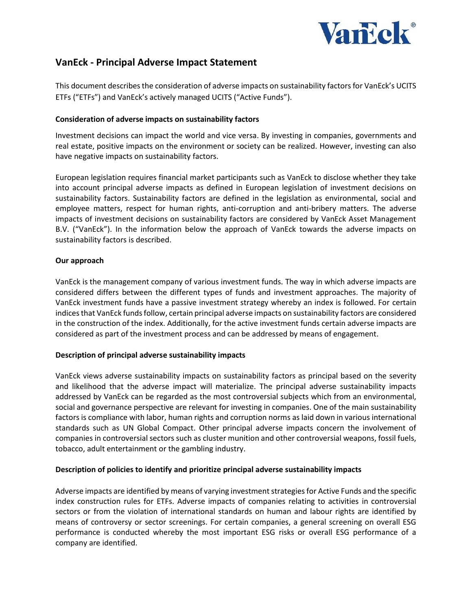

# **VanEck - Principal Adverse Impact Statement**

This document describes the consideration of adverse impacts on sustainability factors for VanEck's UCITS ETFs ("ETFs") and VanEck's actively managed UCITS ("Active Funds").

# **Consideration of adverse impacts on sustainability factors**

Investment decisions can impact the world and vice versa. By investing in companies, governments and real estate, positive impacts on the environment or society can be realized. However, investing can also have negative impacts on sustainability factors.

European legislation requires financial market participants such as VanEck to disclose whether they take into account principal adverse impacts as defined in European legislation of investment decisions on sustainability factors. Sustainability factors are defined in the legislation as environmental, social and employee matters, respect for human rights, anti-corruption and anti-bribery matters. The adverse impacts of investment decisions on sustainability factors are considered by VanEck Asset Management B.V. ("VanEck"). In the information below the approach of VanEck towards the adverse impacts on sustainability factors is described.

### **Our approach**

VanEck is the management company of various investment funds. The way in which adverse impacts are considered differs between the different types of funds and investment approaches. The majority of VanEck investment funds have a passive investment strategy whereby an index is followed. For certain indices that VanEck funds follow, certain principal adverse impacts on sustainability factors are considered in the construction of the index. Additionally, for the active investment funds certain adverse impacts are considered as part of the investment process and can be addressed by means of engagement.

# **Description of principal adverse sustainability impacts**

VanEck views adverse sustainability impacts on sustainability factors as principal based on the severity and likelihood that the adverse impact will materialize. The principal adverse sustainability impacts addressed by VanEck can be regarded as the most controversial subjects which from an environmental, social and governance perspective are relevant for investing in companies. One of the main sustainability factors is compliance with labor, human rights and corruption norms as laid down in various international standards such as UN Global Compact. Other principal adverse impacts concern the involvement of companies in controversial sectors such as cluster munition and other controversial weapons, fossil fuels, tobacco, adult entertainment or the gambling industry.

# **Description of policies to identify and prioritize principal adverse sustainability impacts**

Adverse impacts are identified by means of varying investment strategies for Active Funds and the specific index construction rules for ETFs. Adverse impacts of companies relating to activities in controversial sectors or from the violation of international standards on human and labour rights are identified by means of controversy or sector screenings. For certain companies, a general screening on overall ESG performance is conducted whereby the most important ESG risks or overall ESG performance of a company are identified.